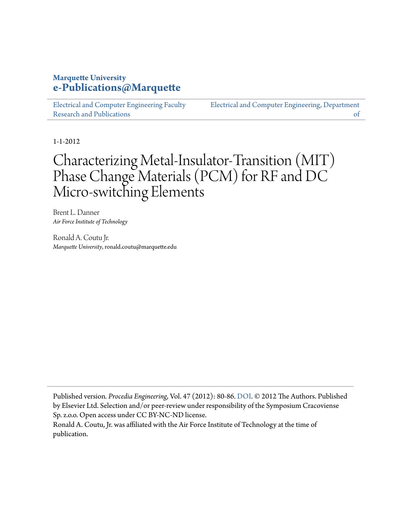## **Marquette University [e-Publications@Marquette](https://epublications.marquette.edu)**

[Electrical and Computer Engineering Faculty](https://epublications.marquette.edu/electric_fac) [Research and Publications](https://epublications.marquette.edu/electric_fac)

[Electrical and Computer Engineering, Department](https://epublications.marquette.edu/electric) [of](https://epublications.marquette.edu/electric)

1-1-2012

# Characterizing Metal-Insulator-Transition (MIT) Phase Change Materials (PCM) for RF and DC Micro-switching Elements

Brent L. Danner *Air Force Institute of Technology*

Ronald A. Coutu Jr. *Marquette University*, ronald.coutu@marquette.edu

Published version*. Procedia Engineering*, Vol. 47 (2012): 80-86. [DOI.](https://doi.org/10.1016/j.proeng.2012.09.089) © 2012 The Authors. Published by Elsevier Ltd. Selection and/or peer-review under responsibility of the Symposium Cracoviense Sp. z.o.o. Open access under CC BY-NC-ND license.

Ronald A. Coutu, Jr. was affiliated with the Air Force Institute of Technology at the time of publication.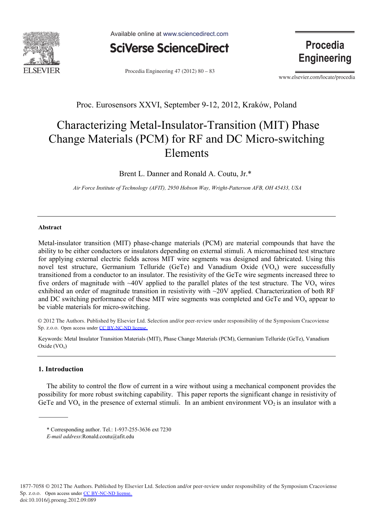

Available online at www.sciencedirect.com



Procedia Engineering 47 (2012) 80 - 83

**Procedia Engineering** 

www.elsevier.com/locate/procedia

### Proc. Eurosensors XXVI, September 9-12, 2012, Kraków, Poland

## Characterizing Metal-Insulator-Transition (MIT) Phase Change Materials (PCM) for RF and DC Micro-switching Elements

Brent L. Danner and Ronald A. Coutu, Jr.\*

*Air Force Institute of Technology (AFIT), 2950 Hobson Way, Wright-Patterson AFB, OH 45433, USA*

#### **Abstract**

Metal-insulator transition (MIT) phase-change materials (PCM) are material compounds that have the ability to be either conductors or insulators depending on external stimuli. A micromachined test structure for applying external electric fields across MIT wire segments was designed and fabricated. Using this novel test structure, Germanium Telluride (GeTe) and Vanadium Oxide  $(VO<sub>x</sub>)$  were successfully transitioned from a conductor to an insulator. The resistivity of the GeTe wire segments increased three to five orders of magnitude with ~40V applied to the parallel plates of the test structure. The  $VO<sub>x</sub>$  wires exhibited an order of magnitude transition in resistivity with  $\sim$ 20V applied. Characterization of both RF and DC switching performance of these MIT wire segments was completed and GeTe and VO<sub>x</sub> appear to be viable materials for micro-switching.

© 2012 The Authors. Published by Elsevier Ltd. Selection and/or peer-review under responsibility of the Symposium Cracoviense Sp. z.o.o. Open access under [CC BY-NC-ND license](http://creativecommons.org/licenses/by-nc-nd/3.0/).

Keywords: Metal Insulator Transition Materials (MIT), Phase Change Materials (PCM), Germanium Telluride (GeTe), Vanadium Oxide  $(VO_x)$ 

#### **1. Introduction**

The ability to control the flow of current in a wire without using a mechanical component provides the possibility for more robust switching capability. This paper reports the significant change in resistivity of GeTe and  $VO_x$  in the presence of external stimuli. In an ambient environment  $VO_2$  is an insulator with a

<sup>\*</sup> Corresponding author. Tel.: 1-937-255-3636 ext 7230

*E-mail address*:Ronald.coutu@afit.edu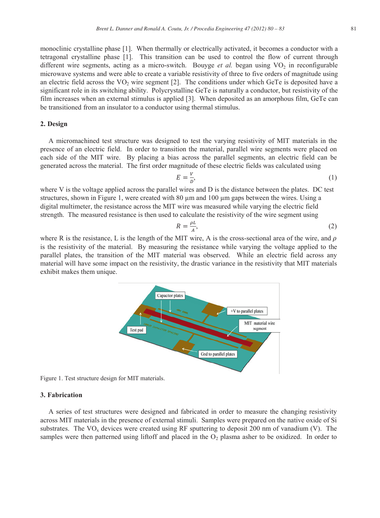monoclinic crystalline phase [1]. When thermally or electrically activated, it becomes a conductor with a tetragonal crystalline phase [1]. This transition can be used to control the flow of current through different wire segments, acting as a micro-switch. Bouyge *et al.* began using VO<sub>2</sub> in reconfigurable microwave systems and were able to create a variable resistivity of three to five orders of magnitude using an electric field across the  $VO<sub>2</sub>$  wire segment [2]. The conditions under which GeTe is deposited have a significant role in its switching ability. Polycrystalline GeTe is naturally a conductor, but resistivity of the film increases when an external stimulus is applied [3]. When deposited as an amorphous film, GeTe can be transitioned from an insulator to a conductor using thermal stimulus.

#### **2. Design**

A micromachined test structure was designed to test the varying resistivity of MIT materials in the presence of an electric field. In order to transition the material, parallel wire segments were placed on each side of the MIT wire. By placing a bias across the parallel segments, an electric field can be generated across the material. The first order magnitude of these electric fields was calculated using

$$
E = \frac{V}{D},\tag{1}
$$

where V is the voltage applied across the parallel wires and D is the distance between the plates. DC test structures, shown in Figure 1, were created with 80 μm and 100 μm gaps between the wires. Using a digital multimeter, the resistance across the MIT wire was measured while varying the electric field strength. The measured resistance is then used to calculate the resistivity of the wire segment using

$$
R = \frac{\rho L}{A},\tag{2}
$$

where R is the resistance, L is the length of the MIT wire, A is the cross-sectional area of the wire, and  $\rho$ is the resistivity of the material. By measuring the resistance while varying the voltage applied to the parallel plates, the transition of the MIT material was observed. While an electric field across any material will have some impact on the resistivity, the drastic variance in the resistivity that MIT materials exhibit makes them unique.



Figure 1. Test structure design for MIT materials.

#### **3. Fabrication**

A series of test structures were designed and fabricated in order to measure the changing resistivity across MIT materials in the presence of external stimuli. Samples were prepared on the native oxide of Si substrates. The  $VO<sub>x</sub>$  devices were created using RF sputtering to deposit 200 nm of vanadium (V). The samples were then patterned using liftoff and placed in the  $O<sub>2</sub>$  plasma asher to be oxidized. In order to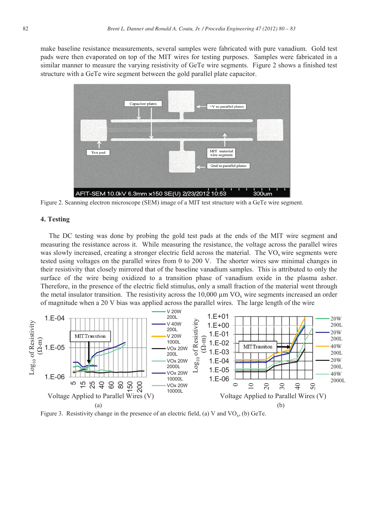make baseline resistance measurements, several samples were fabricated with pure vanadium. Gold test pads were then evaporated on top of the MIT wires for testing purposes. Samples were fabricated in a similar manner to measure the varying resistivity of GeTe wire segments. Figure 2 shows a finished test structure with a GeTe wire segment between the gold parallel plate capacitor.



Figure 2. Scanning electron microscope (SEM) image of a MIT test structure with a GeTe wire segment.

#### **4. Testing**

The DC testing was done by probing the gold test pads at the ends of the MIT wire segment and measuring the resistance across it. While measuring the resistance, the voltage across the parallel wires was slowly increased, creating a stronger electric field across the material. The  $VO<sub>x</sub>$  wire segments were tested using voltages on the parallel wires from 0 to 200 V. The shorter wires saw minimal changes in their resistivity that closely mirrored that of the baseline vanadium samples. This is attributed to only the surface of the wire being oxidized to a transition phase of vanadium oxide in the plasma asher. Therefore, in the presence of the electric field stimulus, only a small fraction of the material went through the metal insulator transition. The resistivity across the  $10,000 \mu m VO<sub>x</sub>$  wire segments increased an order of magnitude when a 20 V bias was applied across the parallel wires. The large length of the wire



Figure 3. Resistivity change in the presence of an electric field, (a) V and  $VO_x$ , (b) GeTe.